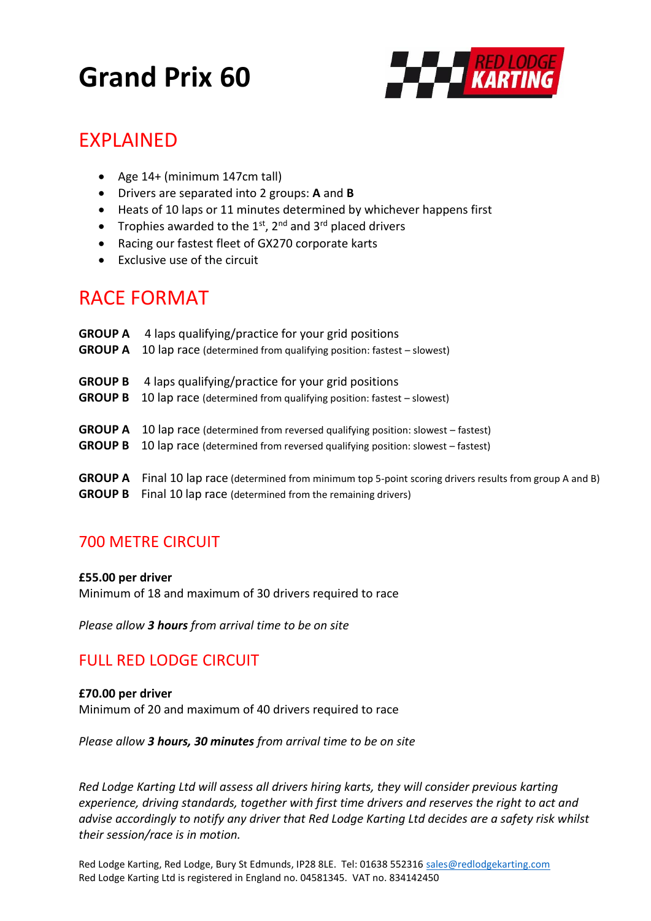# **Grand Prix 60**



## EXPLAINED

- Age 14+ (minimum 147cm tall)
- Drivers are separated into 2 groups: **A** and **B**
- Heats of 10 laps or 11 minutes determined by whichever happens first
- Trophies awarded to the  $1^{st}$ ,  $2^{nd}$  and  $3^{rd}$  placed drivers
- Racing our fastest fleet of GX270 corporate karts
- Exclusive use of the circuit

## RACE FORMAT

| <b>GROUP A</b> | 4 laps qualifying/practice for your grid positions                                                    |
|----------------|-------------------------------------------------------------------------------------------------------|
| <b>GROUP A</b> | 10 lap race (determined from qualifying position: fastest – slowest)                                  |
| <b>GROUP B</b> | 4 laps qualifying/practice for your grid positions                                                    |
| <b>GROUP B</b> | 10 lap race (determined from qualifying position: fastest – slowest)                                  |
| <b>GROUP A</b> | 10 lap race (determined from reversed qualifying position: slowest – fastest)                         |
| <b>GROUP B</b> | 10 lap race (determined from reversed qualifying position: slowest – fastest)                         |
| <b>GROUP A</b> | [4] Final 10 lap race (determined from minimum top 5-point scoring drivers results from group A and B |
|                | <b>GROUP B</b> Final 10 lap race (determined from the remaining drivers)                              |

### 700 METRE CIRCUIT

#### **£55.00 per driver**

Minimum of 18 and maximum of 30 drivers required to race

*Please allow 3 hours from arrival time to be on site*

#### FULL RED LODGE CIRCUIT

**£70.00 per driver** Minimum of 20 and maximum of 40 drivers required to race

*Please allow 3 hours, 30 minutes from arrival time to be on site*

*Red Lodge Karting Ltd will assess all drivers hiring karts, they will consider previous karting experience, driving standards, together with first time drivers and reserves the right to act and advise accordingly to notify any driver that Red Lodge Karting Ltd decides are a safety risk whilst their session/race is in motion.*

Red Lodge Karting, Red Lodge, Bury St Edmunds, IP28 8LE. Tel: 01638 552316 [sales@redlodgekarting.com](mailto:sales@redlodgekarting.com) Red Lodge Karting Ltd is registered in England no. 04581345. VAT no. 834142450